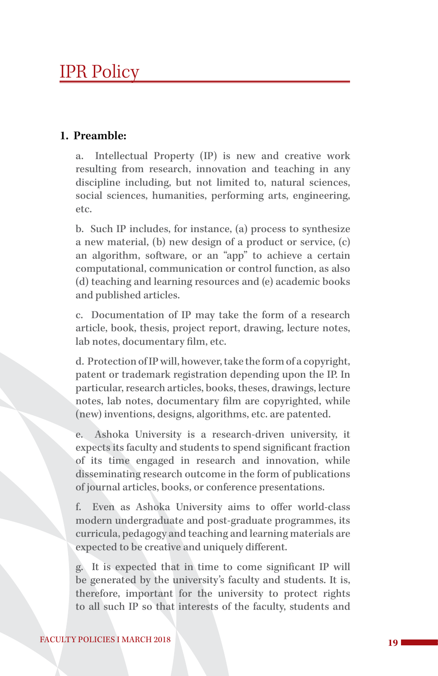# IPR Policy

## **1. Preamble:**

a. Intellectual Property (IP) is new and creative work resulting from research, innovation and teaching in any discipline including, but not limited to, natural sciences, social sciences, humanities, performing arts, engineering, etc.

b. Such IP includes, for instance, (a) process to synthesize a new material, (b) new design of a product or service, (c) an algorithm, software, or an "app" to achieve a certain computational, communication or control function, as also (d) teaching and learning resources and (e) academic books and published articles.

c. Documentation of IP may take the form of a research article, book, thesis, project report, drawing, lecture notes, lab notes, documentary film, etc.

d. Protection of IP will, however, take the form of a copyright, patent or trademark registration depending upon the IP. In particular, research articles, books, theses, drawings, lecture notes, lab notes, documentary film are copyrighted, while (new) inventions, designs, algorithms, etc. are patented.

e. Ashoka University is a research-driven university, it expects its faculty and students to spend significant fraction of its time engaged in research and innovation, while disseminating research outcome in the form of publications of journal articles, books, or conference presentations.

f. Even as Ashoka University aims to offer world-class modern undergraduate and post-graduate programmes, its curricula, pedagogy and teaching and learning materials are expected to be creative and uniquely different.

g. It is expected that in time to come significant IP will be generated by the university's faculty and students. It is, therefore, important for the university to protect rights to all such IP so that interests of the faculty, students and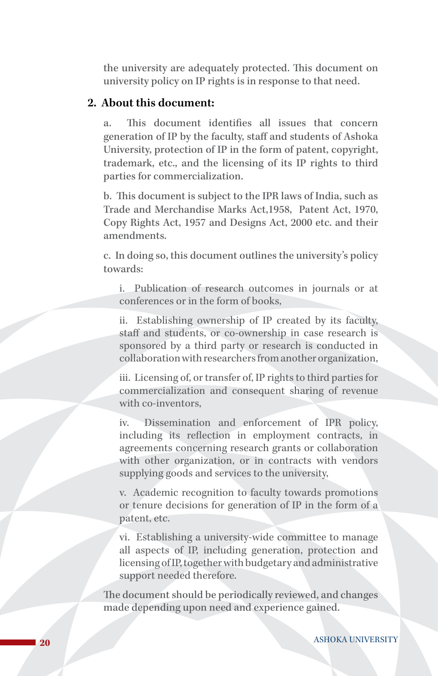the university are adequately protected. This document on university policy on IP rights is in response to that need.

## **2. About this document:**

a. This document identifies all issues that concern generation of IP by the faculty, staff and students of Ashoka University, protection of IP in the form of patent, copyright, trademark, etc., and the licensing of its IP rights to third parties for commercialization.

b. This document is subject to the IPR laws of India, such as Trade and Merchandise Marks Act,1958, Patent Act, 1970, Copy Rights Act, 1957 and Designs Act, 2000 etc. and their amendments.

c. In doing so, this document outlines the university's policy towards:

i. Publication of research outcomes in journals or at conferences or in the form of books,

ii. Establishing ownership of IP created by its faculty, staff and students, or co-ownership in case research is sponsored by a third party or research is conducted in collaboration with researchers from another organization,

iii. Licensing of, or transfer of, IP rights to third parties for commercialization and consequent sharing of revenue with co-inventors,

iv. Dissemination and enforcement of IPR policy, including its reflection in employment contracts, in agreements concerning research grants or collaboration with other organization, or in contracts with vendors supplying goods and services to the university,

v. Academic recognition to faculty towards promotions or tenure decisions for generation of IP in the form of a patent, etc.

vi. Establishing a university-wide committee to manage all aspects of IP, including generation, protection and licensing of IP, together with budgetary and administrative support needed therefore.

The document should be periodically reviewed, and changes made depending upon need and experience gained.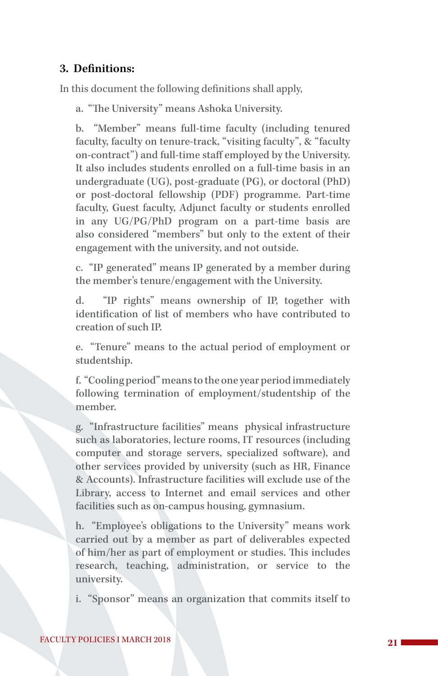# **3. Definitions:**

In this document the following definitions shall apply,

a. "The University" means Ashoka University.

b. "Member" means full-time faculty (including tenured faculty, faculty on tenure-track, "visiting faculty", & "faculty on-contract") and full-time staff employed by the University. It also includes students enrolled on a full-time basis in an undergraduate (UG), post-graduate (PG), or doctoral (PhD) or post-doctoral fellowship (PDF) programme. Part-time faculty, Guest faculty, Adjunct faculty or students enrolled in any UG/PG/PhD program on a part-time basis are also considered "members" but only to the extent of their engagement with the university, and not outside.

c. "IP generated" means IP generated by a member during the member's tenure/engagement with the University.

d. "IP rights" means ownership of IP, together with identification of list of members who have contributed to creation of such IP.

e. "Tenure" means to the actual period of employment or studentship.

f. "Cooling period" means to the one year period immediately following termination of employment/studentship of the member.

g. "Infrastructure facilities" means physical infrastructure such as laboratories, lecture rooms, IT resources (including computer and storage servers, specialized software), and other services provided by university (such as HR, Finance & Accounts). Infrastructure facilities will exclude use of the Library, access to Internet and email services and other facilities such as on-campus housing, gymnasium.

h. "Employee's obligations to the University" means work carried out by a member as part of deliverables expected of him/her as part of employment or studies. This includes research, teaching, administration, or service to the university.

i. "Sponsor" means an organization that commits itself to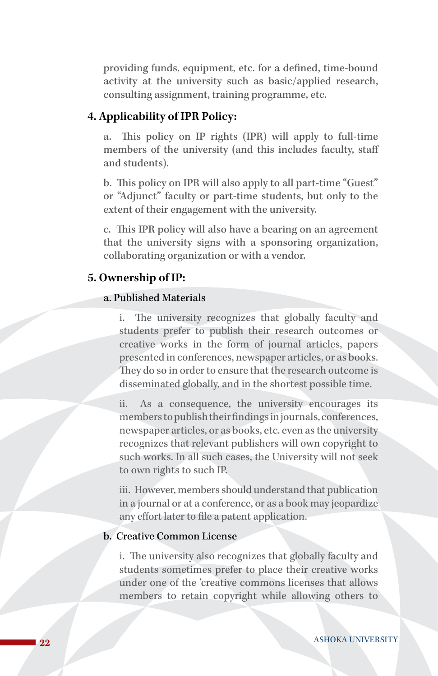providing funds, equipment, etc. for a defined, time-bound activity at the university such as basic/applied research, consulting assignment, training programme, etc.

## **4. Applicability of IPR Policy:**

This policy on IP rights (IPR) will apply to full-time members of the university (and this includes faculty, staff and students).

b. This policy on IPR will also apply to all part-time "Guest" or "Adjunct" faculty or part-time students, but only to the extent of their engagement with the university.

c. This IPR policy will also have a bearing on an agreement that the university signs with a sponsoring organization, collaborating organization or with a vendor.

### **5. Ownership of IP:**

#### a. Published Materials

i. The university recognizes that globally faculty and students prefer to publish their research outcomes or creative works in the form of journal articles, papers presented in conferences, newspaper articles, or as books. They do so in order to ensure that the research outcome is disseminated globally, and in the shortest possible time.

ii. As a consequence, the university encourages its members to publish their findings in journals, conferences, newspaper articles, or as books, etc. even as the university recognizes that relevant publishers will own copyright to such works. In all such cases, the University will not seek to own rights to such IP.

iii. However, members should understand that publication in a journal or at a conference, or as a book may jeopardize any effort later to file a patent application.

## b. Creative Common License

i. The university also recognizes that globally faculty and students sometimes prefer to place their creative works under one of the 'creative commons licenses that allows members to retain copyright while allowing others to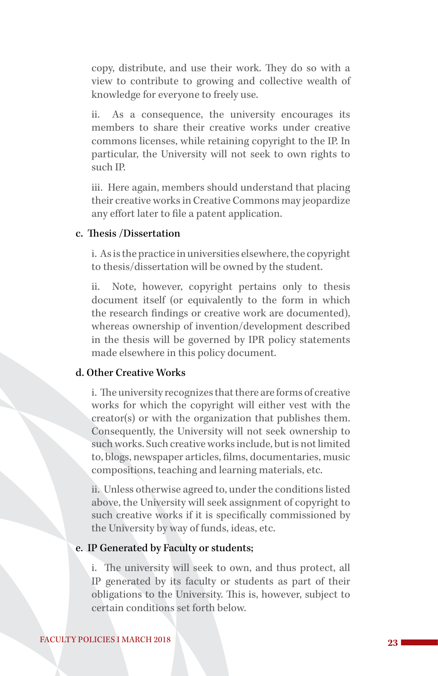copy, distribute, and use their work. They do so with a view to contribute to growing and collective wealth of knowledge for everyone to freely use.

ii. As a consequence, the university encourages its members to share their creative works under creative commons licenses, while retaining copyright to the IP. In particular, the University will not seek to own rights to such IP.

iii. Here again, members should understand that placing their creative works in Creative Commons may jeopardize any effort later to file a patent application.

#### c. Thesis /Dissertation

i. As is the practice in universities elsewhere, the copyright to thesis/dissertation will be owned by the student.

ii. Note, however, copyright pertains only to thesis document itself (or equivalently to the form in which the research findings or creative work are documented), whereas ownership of invention/development described in the thesis will be governed by IPR policy statements made elsewhere in this policy document.

#### d. Other Creative Works

i. The university recognizes that there are forms of creative works for which the copyright will either vest with the creator(s) or with the organization that publishes them. Consequently, the University will not seek ownership to such works. Such creative works include, but is not limited to, blogs, newspaper articles, films, documentaries, music compositions, teaching and learning materials, etc.

ii. Unless otherwise agreed to, under the conditions listed above, the University will seek assignment of copyright to such creative works if it is specifically commissioned by the University by way of funds, ideas, etc.

#### e. IP Generated by Faculty or students;

i. The university will seek to own, and thus protect, all IP generated by its faculty or students as part of their obligations to the University. This is, however, subject to certain conditions set forth below.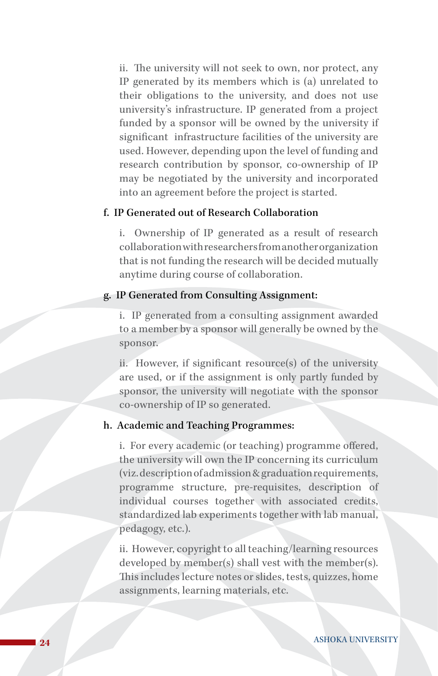ii. The university will not seek to own, nor protect, any IP generated by its members which is (a) unrelated to their obligations to the university, and does not use university's infrastructure. IP generated from a project funded by a sponsor will be owned by the university if significant infrastructure facilities of the university are used. However, depending upon the level of funding and research contribution by sponsor, co-ownership of IP may be negotiated by the university and incorporated into an agreement before the project is started.

#### f. IP Generated out of Research Collaboration

i. Ownership of IP generated as a result of research collaboration with researchers from another organization that is not funding the research will be decided mutually anytime during course of collaboration.

## g. IP Generated from Consulting Assignment:

i. IP generated from a consulting assignment awarded to a member by a sponsor will generally be owned by the sponsor.

ii. However, if significant resource(s) of the university are used, or if the assignment is only partly funded by sponsor, the university will negotiate with the sponsor co-ownership of IP so generated.

#### h. Academic and Teaching Programmes:

i. For every academic (or teaching) programme offered, the university will own the IP concerning its curriculum (viz. description of admission & graduation requirements, programme structure, pre-requisites, description of individual courses together with associated credits, standardized lab experiments together with lab manual, pedagogy, etc.).

ii. However, copyright to all teaching/learning resources developed by member(s) shall vest with the member(s). This includes lecture notes or slides, tests, quizzes, home assignments, learning materials, etc.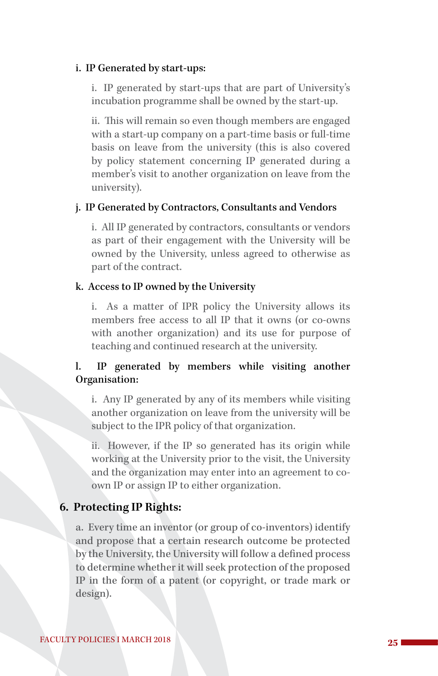#### i. IP Generated by start-ups:

i. IP generated by start-ups that are part of University's incubation programme shall be owned by the start-up.

ii. This will remain so even though members are engaged with a start-up company on a part-time basis or full-time basis on leave from the university (this is also covered by policy statement concerning IP generated during a member's visit to another organization on leave from the university).

#### j. IP Generated by Contractors, Consultants and Vendors

i. All IP generated by contractors, consultants or vendors as part of their engagement with the University will be owned by the University, unless agreed to otherwise as part of the contract.

#### k. Access to IP owned by the University

i. As a matter of IPR policy the University allows its members free access to all IP that it owns (or co-owns with another organization) and its use for purpose of teaching and continued research at the university.

# l. IP generated by members while visiting another Organisation:

i. Any IP generated by any of its members while visiting another organization on leave from the university will be subject to the IPR policy of that organization.

ii. However, if the IP so generated has its origin while working at the University prior to the visit, the University and the organization may enter into an agreement to coown IP or assign IP to either organization.

#### **6. Protecting IP Rights:**

a. Every time an inventor (or group of co-inventors) identify and propose that a certain research outcome be protected by the University, the University will follow a defined process to determine whether it will seek protection of the proposed IP in the form of a patent (or copyright, or trade mark or design).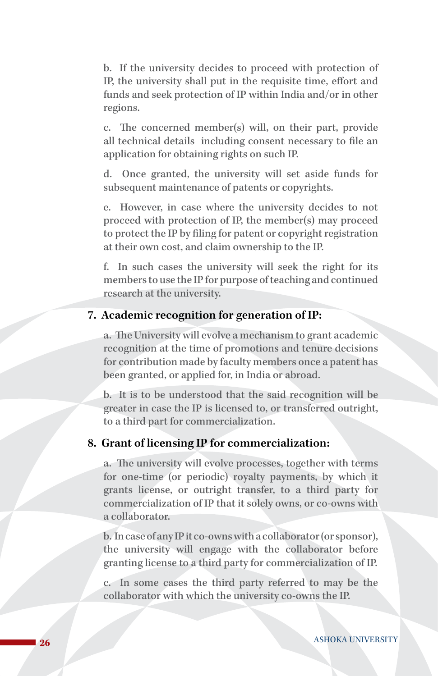b. If the university decides to proceed with protection of IP, the university shall put in the requisite time, effort and funds and seek protection of IP within India and/or in other regions.

c. The concerned member(s) will, on their part, provide all technical details including consent necessary to file an application for obtaining rights on such IP.

d. Once granted, the university will set aside funds for subsequent maintenance of patents or copyrights.

e. However, in case where the university decides to not proceed with protection of IP, the member(s) may proceed to protect the IP by filing for patent or copyright registration at their own cost, and claim ownership to the IP.

f. In such cases the university will seek the right for its members to use the IP for purpose of teaching and continued research at the university.

## **7. Academic recognition for generation of IP:**

a. The University will evolve a mechanism to grant academic recognition at the time of promotions and tenure decisions for contribution made by faculty members once a patent has been granted, or applied for, in India or abroad.

b. It is to be understood that the said recognition will be greater in case the IP is licensed to, or transferred outright, to a third part for commercialization.

#### **8. Grant of licensing IP for commercialization:**

a. The university will evolve processes, together with terms for one-time (or periodic) royalty payments, by which it grants license, or outright transfer, to a third party for commercialization of IP that it solely owns, or co-owns with a collaborator.

b. In case of any IP it co-owns with a collaborator (or sponsor), the university will engage with the collaborator before granting license to a third party for commercialization of IP.

c. In some cases the third party referred to may be the collaborator with which the university co-owns the IP.